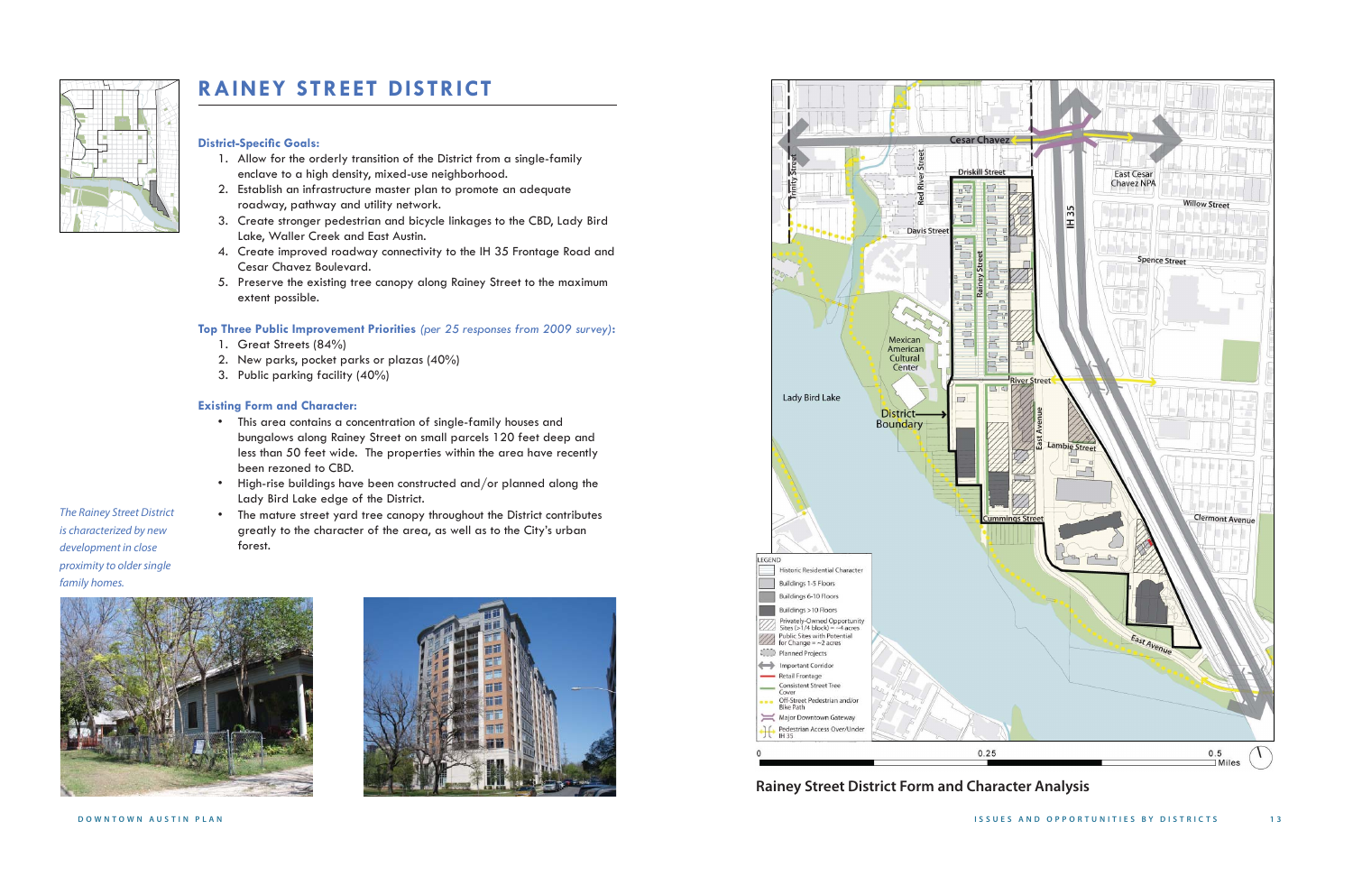The Rainey Street District is characterized by new development in close proximity to older single family homes.









# **RAINEY STREET DISTRICT**

# **District-Speci fi c Goals:**

- 1. Allow for the orderly transition of the District from a single-family enclave to a high density, mixed-use neighborhood.
- 2. Establish an infrastructure master plan to promote an adequate roadway, pathway and utility network.
- 3. Create stronger pedestrian and bicycle linkages to the CBD, Lady Bird Lake, Waller Creek and East Austin.
- 4. Create improved roadway connectivity to the IH 35 Frontage Road and Cesar Chavez Boulevard.
- 5. Preserve the existing tree canopy along Rainey Street to the maximum extent possible.

### **Top Three Public Improvement Priorities** *(per 25 responses from 2009 survey)***:**

- 1. Great Streets (84%)
- 2. New parks, pocket parks or plazas (40%)
- 3. Public parking facility (40%)

### **Existing Form and Character:**

- This area contains a concentration of single-family houses and bungalows along Rainey Street on small parcels 120 feet deep and less than 50 feet wide. The properties within the area have recently been rezoned to CBD.
- High-rise buildings have been constructed and/or planned along the Lady Bird Lake edge of the District.
- The mature street yard tree canopy throughout the District contributes greatly to the character of the area, as well as to the City's urban forest.

**Rainey Street District Form and Character Analysis**